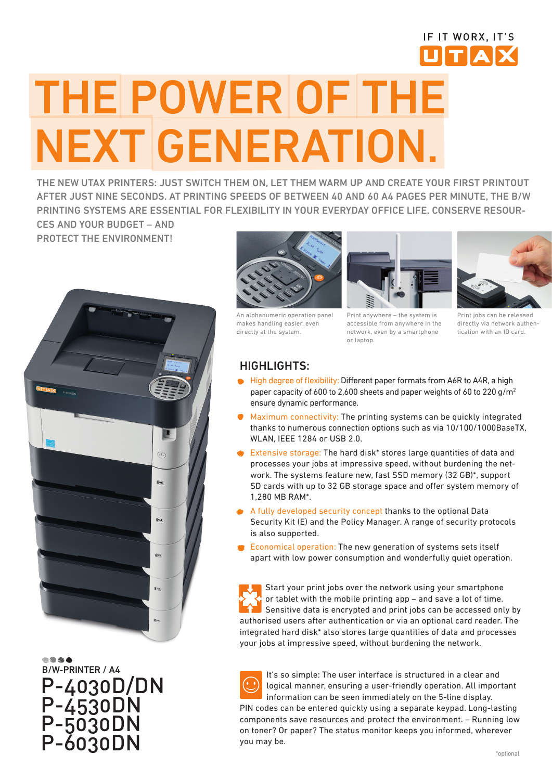## THE POWER OF THE NEXT GENERATION.

THE NEW UTAX PRINTERS: JUST SWITCH THEM ON, LET THEM WARM UP AND CREATE YOUR FIRST PRINTOUT AFTER JUST NINE SECONDS. AT PRINTING SPEEDS OF BETWEEN 40 AND 60 A4 PAGES PER MINUTE, THE B/W PRINTING SYSTEMS ARE ESSENTIAL FOR FLEXIBILITY IN YOUR EVERYDAY OFFICE LIFE. CONSERVE RESOUR-CES AND YOUR BUDGET – AND

PROTECT THE ENVIRONMENT!



B/W-PRINTER / A4 P-4030D/DN P-4530DN P-5030DN P-6030DN



An alphanumeric operation panel makes handling easier, even directly at the system.



Print anywhere – the system is accessible from anywhere in the network, even by a smartphone or laptop.



IF IT WORX. IT'S UTAX

Print jobs can be released directly via network authentication with an ID card.

## HIGHLIGHTS:

- High degree of flexibility: Different paper formats from A6R to A4R, a high paper capacity of 600 to 2,600 sheets and paper weights of 60 to 220 g/m2 ensure dynamic performance.
- Maximum connectivity: The printing systems can be quickly integrated thanks to numerous connection options such as via 10/100/1000BaseTX, WLAN, IEEE 1284 or USB 2.0.
- Extensive storage: The hard disk\* stores large quantities of data and processes your jobs at impressive speed, without burdening the network. The systems feature new, fast SSD memory (32 GB)\*, support SD cards with up to 32 GB storage space and offer system memory of 1,280 MB RAM\*.
- A fully developed security concept thanks to the optional Data Security Kit (E) and the Policy Manager. A range of security protocols is also supported.
- Economical operation: The new generation of systems sets itself apart with low power consumption and wonderfully quiet operation.

Start your print jobs over the network using your smartphone or tablet with the mobile printing app – and save a lot of time. Sensitive data is encrypted and print jobs can be accessed only by authorised users after authentication or via an optional card reader. The integrated hard disk\* also stores large quantities of data and processes your jobs at impressive speed, without burdening the network.

It's so simple: The user interface is structured in a clear and logical manner, ensuring a user-friendly operation. All important information can be seen immediately on the 5-line display. PIN codes can be entered quickly using a separate keypad. Long-lasting components save resources and protect the environment. – Running low on toner? Or paper? The status monitor keeps you informed, wherever you may be.